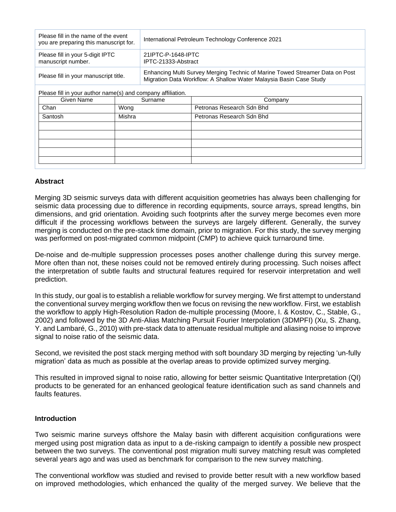| Please fill in the name of the event<br>you are preparing this manuscript for. | International Petroleum Technology Conference 2021                                                                                                 |  |
|--------------------------------------------------------------------------------|----------------------------------------------------------------------------------------------------------------------------------------------------|--|
| Please fill in your 5-digit IPTC<br>manuscript number.                         | 21IPTC-P-1648-IPTC<br>IPTC-21333-Abstract                                                                                                          |  |
| Please fill in your manuscript title.                                          | Enhancing Multi Survey Merging Technic of Marine Towed Streamer Data on Post<br>Migration Data Workflow: A Shallow Water Malaysia Basin Case Study |  |

Please fill in your author name(s) and company affiliation.

| Given Name | Surname | Company                   |
|------------|---------|---------------------------|
| Chan       | Wong    | Petronas Research Sdn Bhd |
| Santosh    | Mishra  | Petronas Research Sdn Bhd |
|            |         |                           |
|            |         |                           |
|            |         |                           |
|            |         |                           |
|            |         |                           |

## **Abstract**

Merging 3D seismic surveys data with different acquisition geometries has always been challenging for seismic data processing due to difference in recording equipments, source arrays, spread lengths, bin dimensions, and grid orientation. Avoiding such footprints after the survey merge becomes even more difficult if the processing workflows between the surveys are largely different. Generally, the survey merging is conducted on the pre-stack time domain, prior to migration. For this study, the survey merging was performed on post-migrated common midpoint (CMP) to achieve quick turnaround time.

De-noise and de-multiple suppression processes poses another challenge during this survey merge. More often than not, these noises could not be removed entirely during processing. Such noises affect the interpretation of subtle faults and structural features required for reservoir interpretation and well prediction.

In this study, our goal is to establish a reliable workflow for survey merging. We first attempt to understand the conventional survey merging workflow then we focus on revising the new workflow. First, we establish the workflow to apply High-Resolution Radon de-multiple processing (Moore, I. & Kostov, C., Stable, G., 2002) and followed by the 3D Anti-Alias Matching Pursuit Fourier Interpolation (3DMPFI) (Xu, S. Zhang, Y. and Lambaré, G., 2010) with pre-stack data to attenuate residual multiple and aliasing noise to improve signal to noise ratio of the seismic data.

Second, we revisited the post stack merging method with soft boundary 3D merging by rejecting 'un-fully migration' data as much as possible at the overlap areas to provide optimized survey merging.

This resulted in improved signal to noise ratio, allowing for better seismic Quantitative Interpretation (QI) products to be generated for an enhanced geological feature identification such as sand channels and faults features.

## **Introduction**

Two seismic marine surveys offshore the Malay basin with different acquisition configurations were merged using post migration data as input to a de-risking campaign to identify a possible new prospect between the two surveys. The conventional post migration multi survey matching result was completed several years ago and was used as benchmark for comparison to the new survey matching.

The conventional workflow was studied and revised to provide better result with a new workflow based on improved methodologies, which enhanced the quality of the merged survey. We believe that the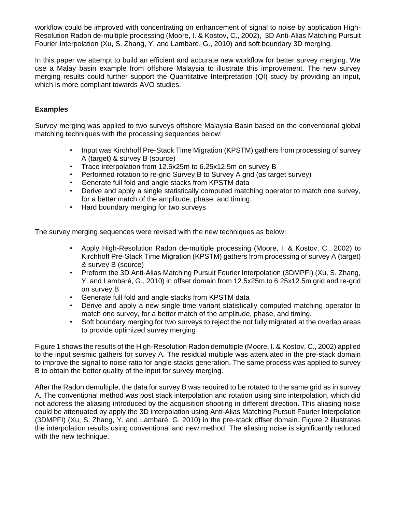workflow could be improved with concentrating on enhancement of signal to noise by application High-Resolution Radon de-multiple processing (Moore, I. & Kostov, C., 2002), 3D Anti-Alias Matching Pursuit Fourier Interpolation (Xu, S. Zhang, Y. and Lambaré, G., 2010) and soft boundary 3D merging.

In this paper we attempt to build an efficient and accurate new workflow for better survey merging. We use a Malay basin example from offshore Malaysia to illustrate this improvement. The new survey merging results could further support the Quantitative Interpretation (QI) study by providing an input, which is more compliant towards AVO studies.

# **Examples**

Survey merging was applied to two surveys offshore Malaysia Basin based on the conventional global matching techniques with the processing sequences below:

- Input was Kirchhoff Pre-Stack Time Migration (KPSTM) gathers from processing of survey A (target) & survey B (source)
- Trace interpolation from 12.5x25m to 6.25x12.5m on survey B
- Performed rotation to re-grid Survey B to Survey A grid (as target survey)
- Generate full fold and angle stacks from KPSTM data
- Derive and apply a single statistically computed matching operator to match one survey, for a better match of the amplitude, phase, and timing.
- Hard boundary merging for two surveys

The survey merging sequences were revised with the new techniques as below:

- Apply High-Resolution Radon de-multiple processing (Moore, I. & Kostov, C., 2002) to Kirchhoff Pre-Stack Time Migration (KPSTM) gathers from processing of survey A (target) & survey B (source)
- Preform the 3D Anti-Alias Matching Pursuit Fourier Interpolation (3DMPFI) (Xu, S. Zhang, Y. and Lambaré, G., 2010) in offset domain from 12.5x25m to 6.25x12.5m grid and re-grid on survey B
- Generate full fold and angle stacks from KPSTM data
- Derive and apply a new single time variant statistically computed matching operator to match one survey, for a better match of the amplitude, phase, and timing.
- Soft boundary merging for two surveys to reject the not fully migrated at the overlap areas to provide optimized survey merging

Figure 1 shows the results of the High-Resolution Radon demultiple (Moore, I. & Kostov, C., 2002) applied to the input seismic gathers for survey A. The residual multiple was attenuated in the pre-stack domain to improve the signal to noise ratio for angle stacks generation. The same process was applied to survey B to obtain the better quality of the input for survey merging.

After the Radon demultiple, the data for survey B was required to be rotated to the same grid as in survey A. The conventional method was post stack interpolation and rotation using sinc interpolation, which did not address the aliasing introduced by the acquisition shooting in different direction. This aliasing noise could be attenuated by apply the 3D interpolation using Anti-Alias Matching Pursuit Fourier Interpolation (3DMPFI) (Xu, S. Zhang, Y. and Lambaré, G. 2010) in the pre-stack offset domain. Figure 2 illustrates the interpolation results using conventional and new method. The aliasing noise is significantly reduced with the new technique.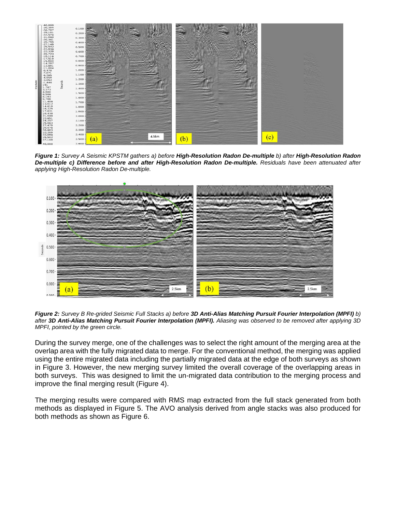

*Figure 1: Survey A Seismic KPSTM gathers a) before High-Resolution Radon De-multiple b) after High-Resolution Radon De-multiple c) Difference before and after High-Resolution Radon De-multiple. Residuals have been attenuated after applying High-Resolution Radon De-multiple.*



*Figure 2: Survey B Re-grided Seismic Full Stacks a) before 3D Anti-Alias Matching Pursuit Fourier Interpolation (MPFI) b) after 3D Anti-Alias Matching Pursuit Fourier Interpolation (MPFI). Aliasing was observed to be removed after applying 3D MPFI, pointed by the green circle.* 

During the survey merge, one of the challenges was to select the right amount of the merging area at the overlap area with the fully migrated data to merge. For the conventional method, the merging was applied using the entire migrated data including the partially migrated data at the edge of both surveys as shown in Figure 3. However, the new merging survey limited the overall coverage of the overlapping areas in both surveys. This was designed to limit the un-migrated data contribution to the merging process and improve the final merging result (Figure 4).

The merging results were compared with RMS map extracted from the full stack generated from both methods as displayed in Figure 5. The AVO analysis derived from angle stacks was also produced for both methods as shown as Figure 6.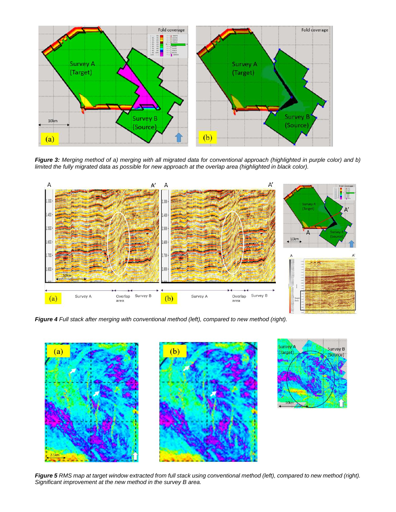

*Figure 3: Merging method of a) merging with all migrated data for conventional approach (highlighted in purple color) and b) limited the fully migrated data as possible for new approach at the overlap area (highlighted in black color).*



*Figure 4 Full stack after merging with conventional method (left), compared to new method (right).* 





*Figure 5 RMS map at target window extracted from full stack using conventional method (left), compared to new method (right). Significant improvement at the new method in the survey B area.*